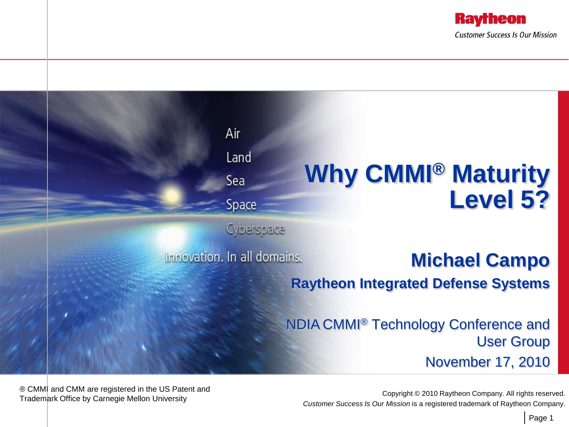



® CMMI and CMM are registered in the US Patent and

Copyright © 2010 Raytheon Company. All rights reserved.<br>Trademark Office by Carnegie Mellon University Corpus Copyright Carnegie Copyright © 2010 Raytheon Company. All rights reserved. *Customer Success Is Our Mission* is a registered trademark of Raytheon Company.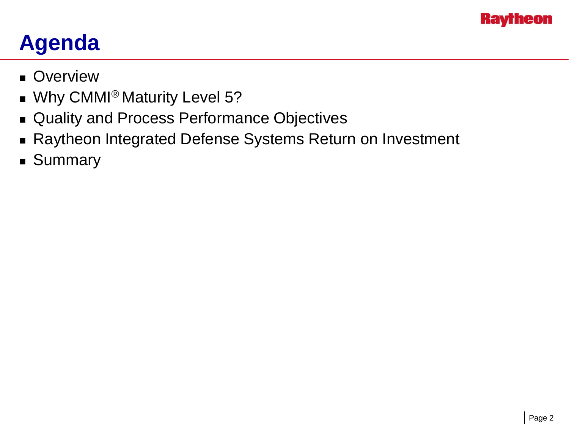

#### **Agenda**

- **Overview**
- **No. 33 MILLET Why CMMI<sup>®</sup> Maturity Level 5?**
- Quality and Process Performance Objectives
- Raytheon Integrated Defense Systems Return on Investment
- **Summary**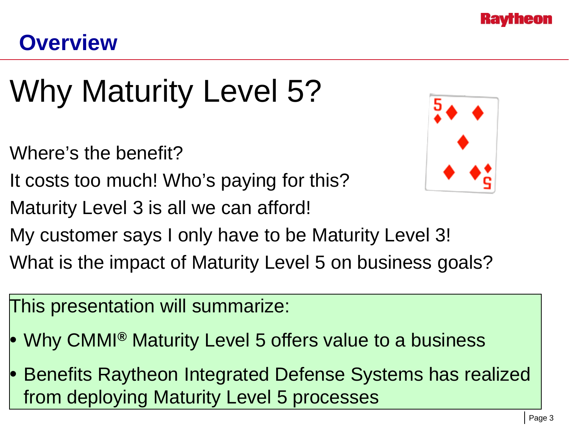

#### **Overview**

# Why Maturity Level 5?

- Where's the benefit?
- It costs too much! Who's paying for this?
- Maturity Level 3 is all we can afford!



- My customer says I only have to be Maturity Level 3!
- What is the impact of Maturity Level 5 on business goals?
- This presentation will summarize:
- Why CMMI**®** Maturity Level 5 offers value to a business
- Benefits Raytheon Integrated Defense Systems has realized from deploying Maturity Level 5 processes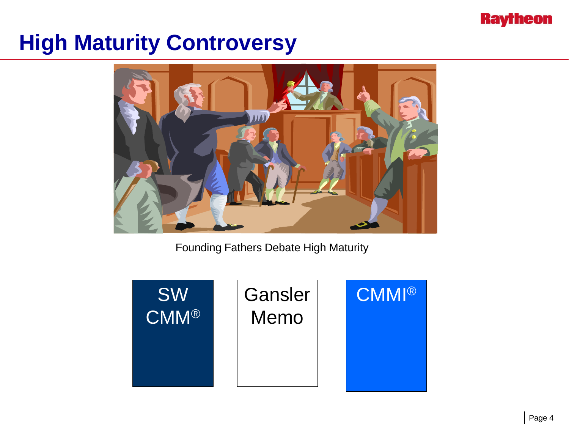

#### **High Maturity Controversy**



Founding Fathers Debate High Maturity

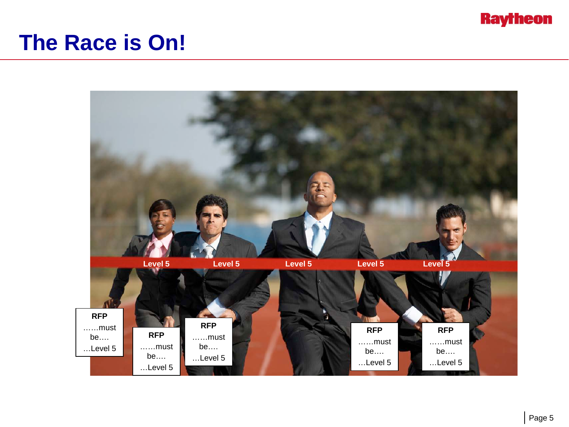

#### **The Race is On!**

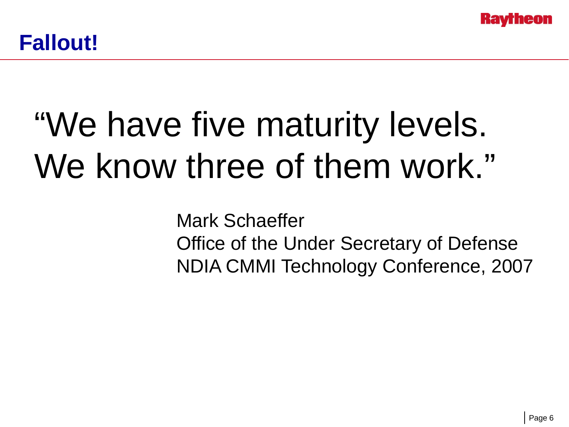

# "We have five maturity levels. We know three of them work."

Mark Schaeffer Office of the Under Secretary of Defense NDIA CMMI Technology Conference, 2007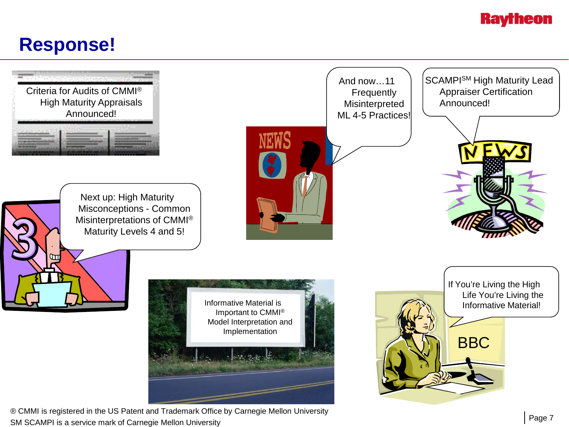#### **Raytheon**

#### **Response!**



® CMMI is registered in the US Patent and Trademark Office by Carnegie Mellon University SM SCAMPI is a service mark of Carnegie Mellon University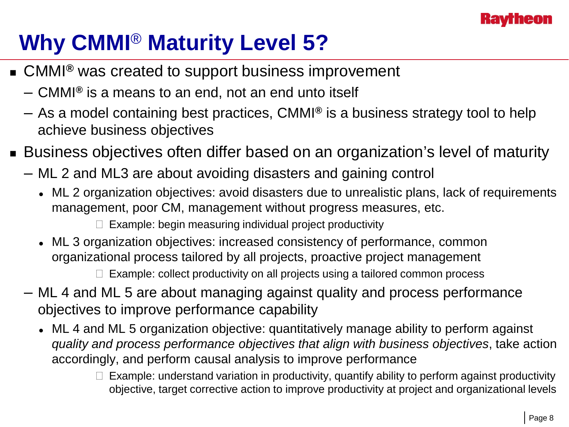

## **Why CMMI**® **Maturity Level 5?**

- CMMI<sup>®</sup> was created to support business improvement
	- CMMI**®** is a means to an end, not an end unto itself
	- As a model containing best practices, CMMI**®** is a business strategy tool to help achieve business objectives
- Business objectives often differ based on an organization's level of maturity
	- ML 2 and ML3 are about avoiding disasters and gaining control
		- ML 2 organization objectives: avoid disasters due to unrealistic plans, lack of requirements management, poor CM, management without progress measures, etc.

 $\Box$  Example: begin measuring individual project productivity

 ML 3 organization objectives: increased consistency of performance, common organizational process tailored by all projects, proactive project management

 $\Box$  Example: collect productivity on all projects using a tailored common process

- ML 4 and ML 5 are about managing against quality and process performance objectives to improve performance capability
	- ML 4 and ML 5 organization objective: quantitatively manage ability to perform against *quality and process performance objectives that align with business objectives*, take action accordingly, and perform causal analysis to improve performance
		- $\Box$  Example: understand variation in productivity, quantify ability to perform against productivity objective, target corrective action to improve productivity at project and organizational levels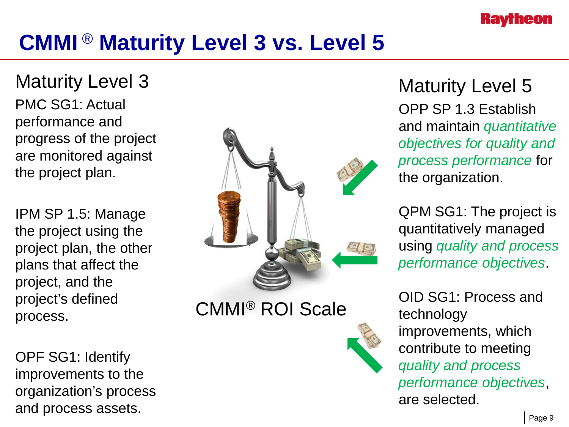

#### **CMMI** ® **Maturity Level 3 vs. Level 5**

Maturity Level 3 PMC SG1: Actual performance and progress of the project are monitored against the project plan.

IPM SP 1.5: Manage the project using the project plan, the other plans that affect the project, and the project's defined process.

OPF SG1: Identify improvements to the organization's process and process assets.



CMMI® ROI Scale

Maturity Level 5 OPP SP 1.3 Establish and maintain *quantitative objectives for quality and process performance* for the organization.

QPM SG1: The project is quantitatively managed using *quality and process performance objectives*.

OID SG1: Process and technology improvements, which contribute to meeting *quality and process performance objectives*, are selected.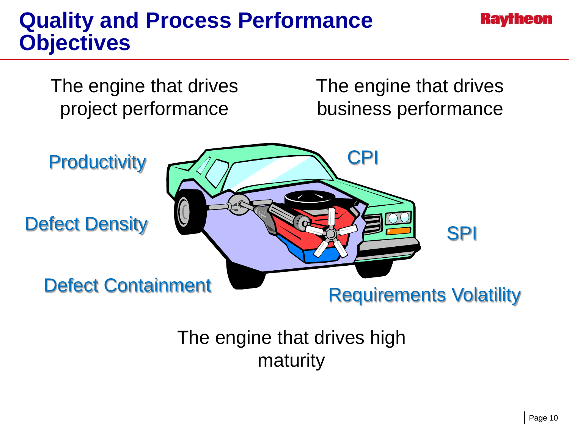#### **Quality and Process Performance Objectives**



The engine that drives high maturity

**Kavrneon**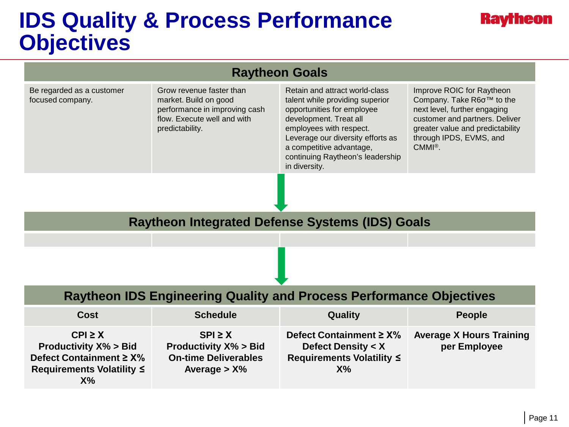#### **IDS Quality & Process Performance Objectives**

#### **Raytheon**

| <b>Raytheon Goals</b>                                                                                                        |                                                                                                                                      |                                                                                                                                                                                                                                                                            |                                                                                                                                                                                                                 |  |  |  |  |  |
|------------------------------------------------------------------------------------------------------------------------------|--------------------------------------------------------------------------------------------------------------------------------------|----------------------------------------------------------------------------------------------------------------------------------------------------------------------------------------------------------------------------------------------------------------------------|-----------------------------------------------------------------------------------------------------------------------------------------------------------------------------------------------------------------|--|--|--|--|--|
| Be regarded as a customer<br>focused company.                                                                                | Grow revenue faster than<br>market. Build on good<br>performance in improving cash<br>flow. Execute well and with<br>predictability. | Retain and attract world-class<br>talent while providing superior<br>opportunities for employee<br>development. Treat all<br>employees with respect.<br>Leverage our diversity efforts as<br>a competitive advantage,<br>continuing Raytheon's leadership<br>in diversity. | Improve ROIC for Raytheon<br>Company. Take R6o™ to the<br>next level, further engaging<br>customer and partners. Deliver<br>greater value and predictability<br>through IPDS, EVMS, and<br>$CMMI^{\circledR}$ . |  |  |  |  |  |
|                                                                                                                              |                                                                                                                                      |                                                                                                                                                                                                                                                                            |                                                                                                                                                                                                                 |  |  |  |  |  |
| <b>Raytheon Integrated Defense Systems (IDS) Goals</b>                                                                       |                                                                                                                                      |                                                                                                                                                                                                                                                                            |                                                                                                                                                                                                                 |  |  |  |  |  |
|                                                                                                                              |                                                                                                                                      |                                                                                                                                                                                                                                                                            |                                                                                                                                                                                                                 |  |  |  |  |  |
|                                                                                                                              |                                                                                                                                      |                                                                                                                                                                                                                                                                            |                                                                                                                                                                                                                 |  |  |  |  |  |
| <b>Raytheon IDS Engineering Quality and Process Performance Objectives</b>                                                   |                                                                                                                                      |                                                                                                                                                                                                                                                                            |                                                                                                                                                                                                                 |  |  |  |  |  |
| <b>Cost</b>                                                                                                                  | <b>Schedule</b>                                                                                                                      | Quality                                                                                                                                                                                                                                                                    | <b>People</b>                                                                                                                                                                                                   |  |  |  |  |  |
| $CPI \geq X$<br><b>Productivity X% &gt; Bid</b><br>Defect Containment $\geq$ X%<br><b>Requirements Volatility ≤</b><br>$X\%$ | $SPI \geq X$<br><b>Productivity X% &gt; Bid</b><br><b>On-time Deliverables</b><br>Average $>$ X%                                     | Defect Containment $\geq$ X%<br><b>Defect Density &lt; X</b><br><b>Requirements Volatility ≤</b><br>X%                                                                                                                                                                     | <b>Average X Hours Training</b><br>per Employee                                                                                                                                                                 |  |  |  |  |  |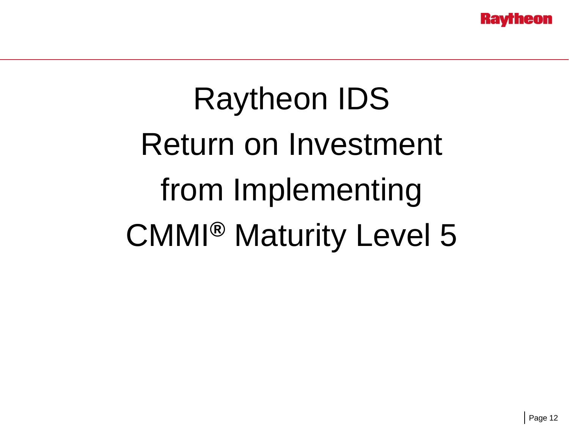# Raytheon IDS Return on Investment from Implementing CMMI**®** Maturity Level 5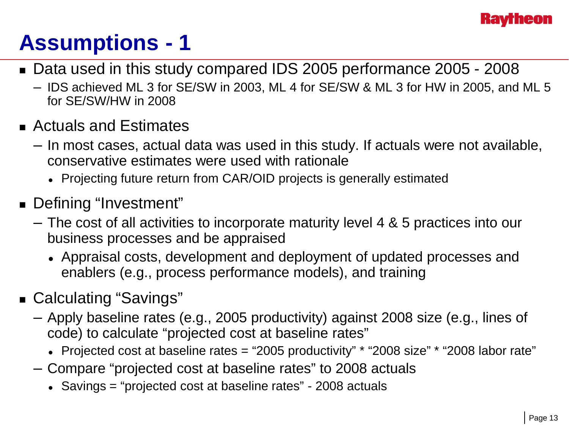

# **Assumptions - 1**

- Data used in this study compared IDS 2005 performance 2005 2008
	- IDS achieved ML 3 for SE/SW in 2003, ML 4 for SE/SW & ML 3 for HW in 2005, and ML 5 for SE/SW/HW in 2008
- Actuals and Estimates
	- In most cases, actual data was used in this study. If actuals were not available, conservative estimates were used with rationale
		- Projecting future return from CAR/OID projects is generally estimated
- Defining "Investment"
	- The cost of all activities to incorporate maturity level 4 & 5 practices into our business processes and be appraised
		- Appraisal costs, development and deployment of updated processes and enablers (e.g., process performance models), and training
- Calculating "Savings"
	- Apply baseline rates (e.g., 2005 productivity) against 2008 size (e.g., lines of code) to calculate "projected cost at baseline rates"
		- Projected cost at baseline rates = "2005 productivity" \* "2008 size" \* "2008 labor rate"
	- Compare "projected cost at baseline rates" to 2008 actuals
		- Savings = "projected cost at baseline rates" 2008 actuals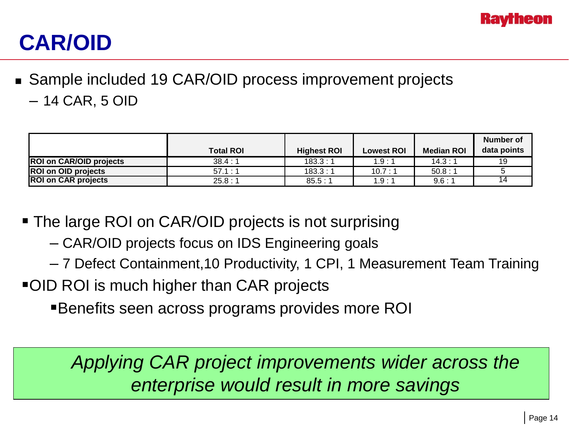

### **CAR/OID**

■ Sample included 19 CAR/OID process improvement projects – 14 CAR, 5 OID

|                            | <b>Total ROI</b> | <b>Highest ROI</b> | <b>Lowest ROI</b> | <b>Median ROI</b> | Number of<br>data points |
|----------------------------|------------------|--------------------|-------------------|-------------------|--------------------------|
| ROI on CAR/OID projects    | 38.4:1           | 183.3:1            | 1.9:1             | 14.3 : 1          | 19                       |
| <b>ROI on OID projects</b> | 57.1 : 1         | 183.3:1            | 10.7 : 1          | 50.8:1            |                          |
| <b>ROI on CAR projects</b> | 25.8:1           | 85.5:1             | 1.9:1             | 9.6:1             | 14                       |

- The large ROI on CAR/OID projects is not surprising
	- CAR/OID projects focus on IDS Engineering goals
	- 7 Defect Containment,10 Productivity, 1 CPI, 1 Measurement Team Training
- OID ROI is much higher than CAR projects
	- Benefits seen across programs provides more ROI

*Applying CAR project improvements wider across the enterprise would result in more savings*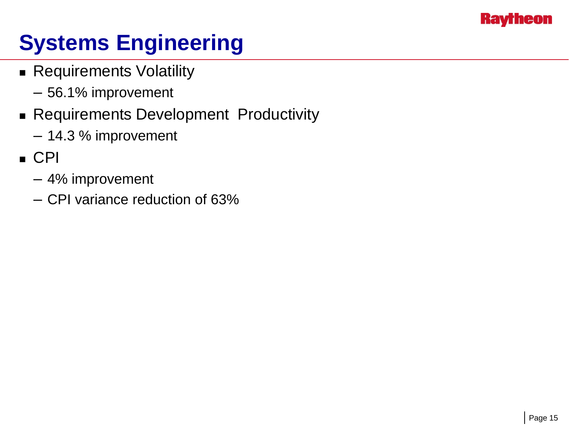

# **Systems Engineering**

- **Requirements Volatility** 
	- 56.1% improvement
- **Requirements Development Productivity** 
	- 14.3 % improvement
- CPI
	- 4% improvement
	- CPI variance reduction of 63%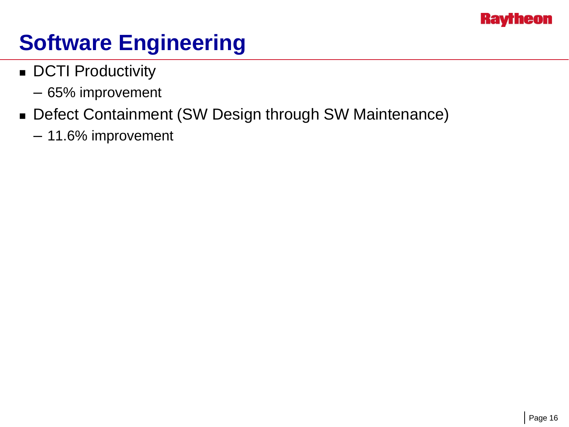

#### **Software Engineering**

- **DCTI Productivity** 
	- 65% improvement
- Defect Containment (SW Design through SW Maintenance)
	- 11.6% improvement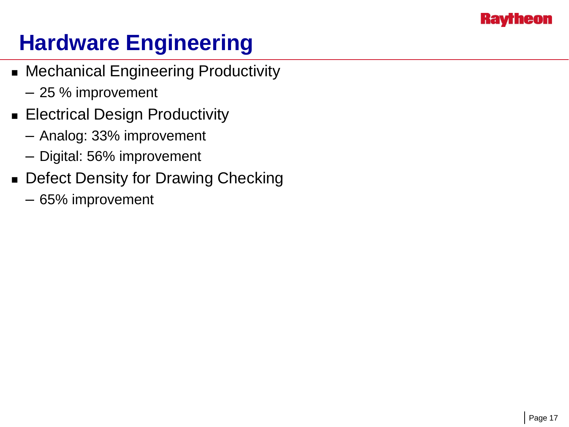

## **Hardware Engineering**

- Mechanical Engineering Productivity
	- 25 % improvement
- **Electrical Design Productivity** 
	- Analog: 33% improvement
	- Digital: 56% improvement
- **Defect Density for Drawing Checking** 
	- 65% improvement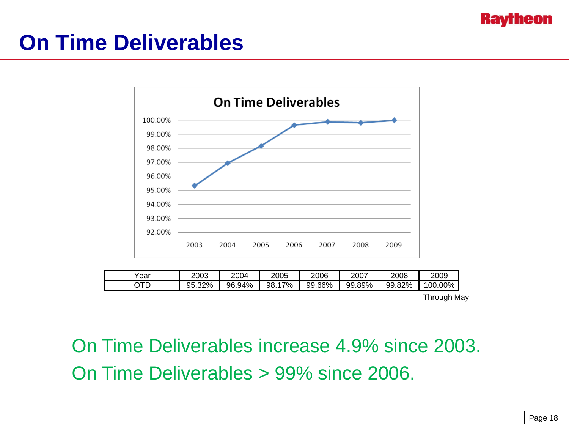

#### **On Time Deliverables**



| Year | 2003         | 2004   | 2005          | 2006   | 2007   | 2008         | 2009      |
|------|--------------|--------|---------------|--------|--------|--------------|-----------|
| חדר. | 32%<br>95.32 | 96.94% | $.7\%$<br>98. | 99.66% | 99.89% | 82%<br>99.82 | $00.00\%$ |

Through May

On Time Deliverables increase 4.9% since 2003. On Time Deliverables > 99% since 2006.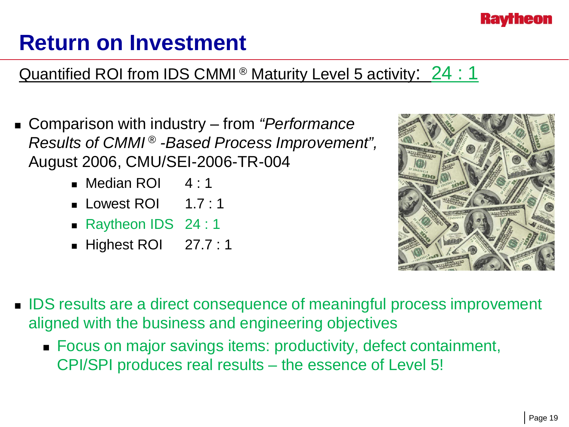

#### **Return on Investment**

#### Quantified ROI from IDS CMMI<sup>®</sup> Maturity Level 5 activity: 24 : 1

- Comparison with industry from *"Performance Results of CMMI ® -Based Process Improvement",*  August 2006, CMU/SEI-2006-TR-004
	- Median ROI 4 : 1
	- **Lowest ROI**  $1.7:1$
	- Raytheon IDS 24 : 1
	- Highest ROI 27.7 : 1



- IDS results are a direct consequence of meaningful process improvement aligned with the business and engineering objectives
	- Focus on major savings items: productivity, defect containment, CPI/SPI produces real results – the essence of Level 5!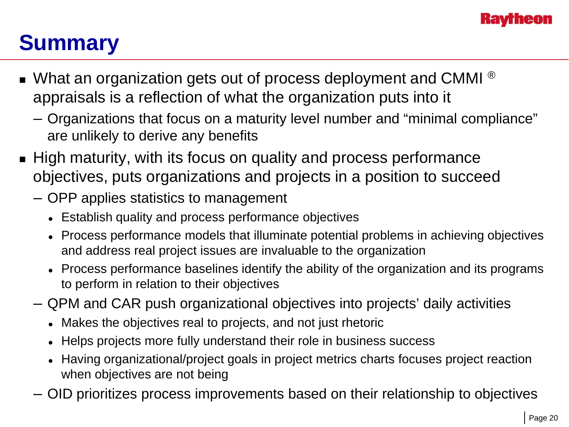

## **Summary**

- $\blacksquare$  What an organization gets out of process deployment and CMMI  $^\circledR$ appraisals is a reflection of what the organization puts into it
	- Organizations that focus on a maturity level number and "minimal compliance" are unlikely to derive any benefits
- High maturity, with its focus on quality and process performance objectives, puts organizations and projects in a position to succeed
	- OPP applies statistics to management
		- Establish quality and process performance objectives
		- Process performance models that illuminate potential problems in achieving objectives and address real project issues are invaluable to the organization
		- Process performance baselines identify the ability of the organization and its programs to perform in relation to their objectives
	- QPM and CAR push organizational objectives into projects' daily activities
		- Makes the objectives real to projects, and not just rhetoric
		- Helps projects more fully understand their role in business success
		- Having organizational/project goals in project metrics charts focuses project reaction when objectives are not being
	- OID prioritizes process improvements based on their relationship to objectives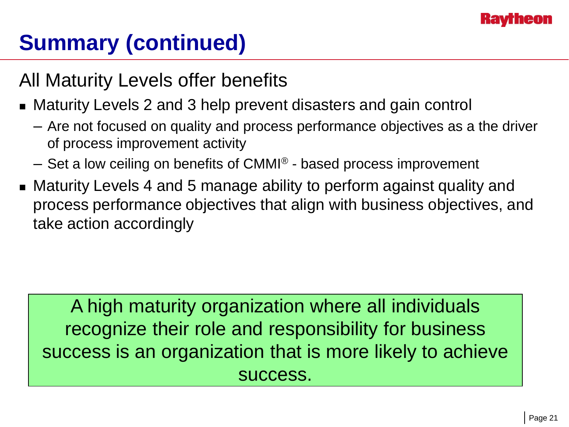

## **Summary (continued)**

#### All Maturity Levels offer benefits

- Maturity Levels 2 and 3 help prevent disasters and gain control
	- Are not focused on quality and process performance objectives as a the driver of process improvement activity
	- $-$  Set a low ceiling on benefits of CMMI<sup>®</sup> based process improvement
- Maturity Levels 4 and 5 manage ability to perform against quality and process performance objectives that align with business objectives, and take action accordingly

A high maturity organization where all individuals recognize their role and responsibility for business success is an organization that is more likely to achieve success.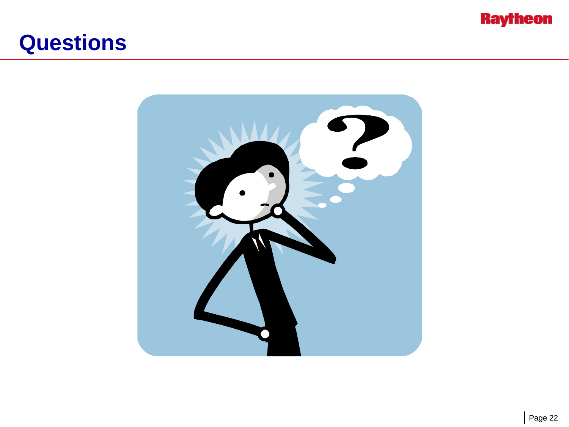

#### **Questions**

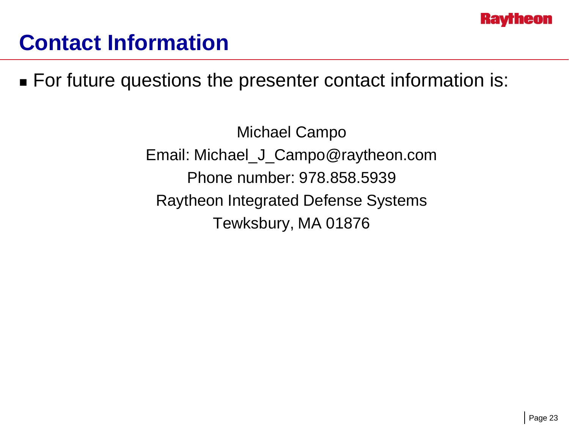

#### **Contact Information**

■ For future questions the presenter contact information is:

Michael Campo Email: Michael\_J\_Campo@raytheon.com Phone number: 978.858.5939 Raytheon Integrated Defense Systems Tewksbury, MA 01876